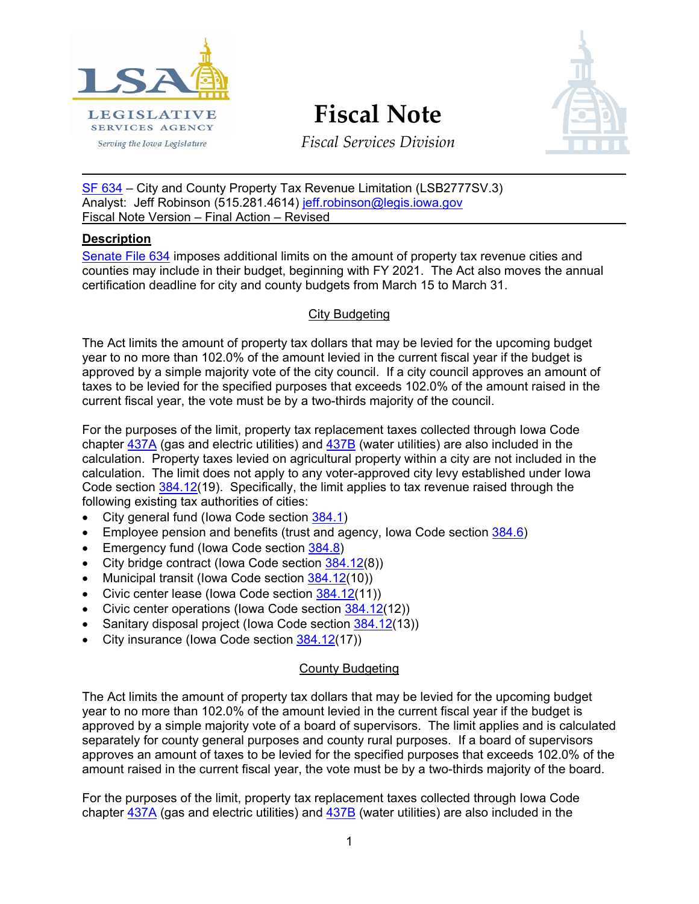

**Fiscal Note**



*Fiscal Services Division*

SF [634](https://www.legis.iowa.gov/legislation/BillBook?ga=88&ba=SF634) – City and County Property Tax Revenue Limitation (LSB2777SV.3) Analyst: Jeff Robinson (515.281.4614) [jeff.robinson@legis.iowa.gov](mailto:jeff.robinson@legis.iowa.gov) Fiscal Note Version – Final Action – Revised

## **Description**

Senate [File 634](https://www.legis.iowa.gov/legislation/BillBook?ga=88&ba=SF634) imposes additional limits on the amount of property tax revenue cities and counties may include in their budget, beginning with FY 2021. The Act also moves the annual certification deadline for city and county budgets from March 15 to March 31.

## City Budgeting

The Act limits the amount of property tax dollars that may be levied for the upcoming budget year to no more than 102.0% of the amount levied in the current fiscal year if the budget is approved by a simple majority vote of the city council. If a city council approves an amount of taxes to be levied for the specified purposes that exceeds 102.0% of the amount raised in the current fiscal year, the vote must be by a two-thirds majority of the council.

For the purposes of the limit, property tax replacement taxes collected through Iowa Code chapter  $437A$  (gas and electric utilities) and  $437B$  (water utilities) are also included in the calculation. Property taxes levied on agricultural property within a city are not included in the calculation. The limit does not apply to any voter-approved city levy established under Iowa Code section  $\frac{384.12}{19}$ . Specifically, the limit applies to tax revenue raised through the following existing tax authorities of cities:

- City general fund (Iowa Code section [384.1\)](https://www.legis.iowa.gov/docs/code/384.1.pdf)
- Employee pension and benefits (trust and agency, lowa Code section  $384.6$ )
- Emergency fund (lowa Code section [384.8\)](https://www.legis.iowa.gov/docs/code/384.8.pdf)
- City bridge contract (lowa Code section [384.12\(](https://www.legis.iowa.gov/docs/code/384.12.pdf)8))
- Municipal transit (Iowa Code section [384.12\(](https://www.legis.iowa.gov/docs/code/384.12.pdf)10))
- Civic center lease (lowa Code section [384.12\(](https://www.legis.iowa.gov/docs/code/384.12.pdf)11))
- Civic center operations (Iowa Code section [384.12\(](https://www.legis.iowa.gov/docs/code/384.12.pdf)12))
- Sanitary disposal project (Iowa Code section [384.12\(](https://www.legis.iowa.gov/docs/code/384.12.pdf)13))
- City insurance (Iowa Code section [384.12\(](https://www.legis.iowa.gov/docs/code/384.12.pdf)17))

## County Budgeting

The Act limits the amount of property tax dollars that may be levied for the upcoming budget year to no more than 102.0% of the amount levied in the current fiscal year if the budget is approved by a simple majority vote of a board of supervisors. The limit applies and is calculated separately for county general purposes and county rural purposes. If a board of supervisors approves an amount of taxes to be levied for the specified purposes that exceeds 102.0% of the amount raised in the current fiscal year, the vote must be by a two-thirds majority of the board.

For the purposes of the limit, property tax replacement taxes collected through Iowa Code chapter [437A](https://www.legis.iowa.gov/docs/code/437a.pdf) (gas and electric utilities) and [437B](https://www.legis.iowa.gov/docs/code/437b.pdf) (water utilities) are also included in the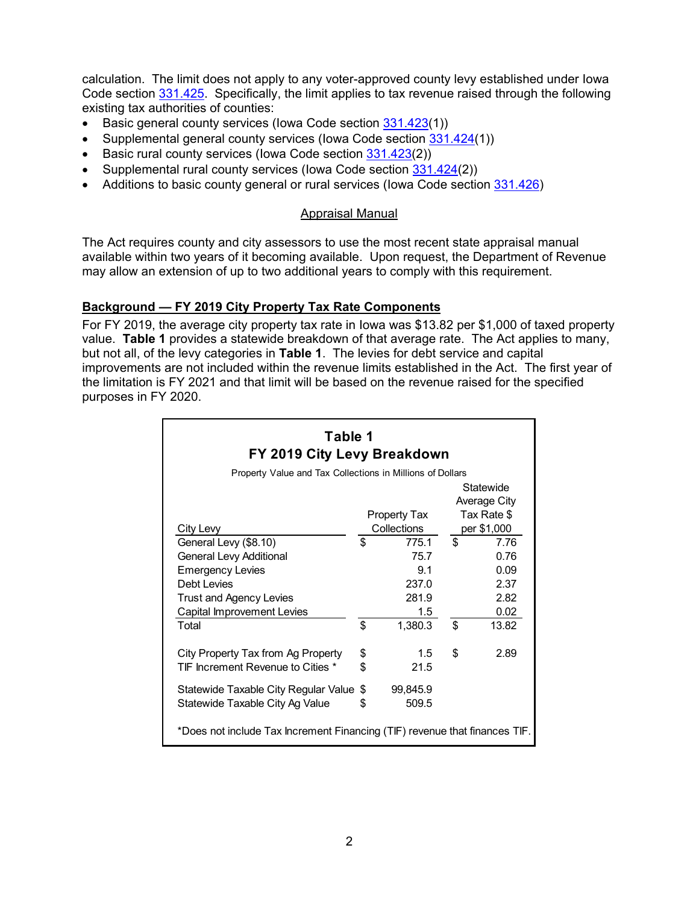calculation. The limit does not apply to any voter-approved county levy established under Iowa Code section [331.425.](https://www.legis.iowa.gov/docs/code/331.425.pdf) Specifically, the limit applies to tax revenue raised through the following existing tax authorities of counties:

- Basic general county services (Iowa Code section [331.423\(](https://www.legis.iowa.gov/docs/code/331.423.pdf)1))
- Supplemental general county services (Iowa Code section [331.424\(](https://www.legis.iowa.gov/docs/code/331.424.pdf)1))
- Basic rural county services (lowa Code section [331.423\(](https://www.legis.iowa.gov/docs/code/331.423.pdf)2))
- Supplemental rural county services (Iowa Code section [331.424\(](https://www.legis.iowa.gov/docs/code/331.424.pdf)2))
- Additions to basic county general or rural services (lowa Code section [331.426\)](https://www.legis.iowa.gov/docs/code/331.426.pdf)

#### Appraisal Manual

The Act requires county and city assessors to use the most recent state appraisal manual available within two years of it becoming available. Upon request, the Department of Revenue may allow an extension of up to two additional years to comply with this requirement.

#### **Background — FY 2019 City Property Tax Rate Components**

For FY 2019, the average city property tax rate in Iowa was \$13.82 per \$1,000 of taxed property value. **Table 1** provides a statewide breakdown of that average rate. The Act applies to many, but not all, of the levy categories in **Table 1**. The levies for debt service and capital improvements are not included within the revenue limits established in the Act. The first year of the limitation is FY 2021 and that limit will be based on the revenue raised for the specified purposes in FY 2020.

| Table 1<br>FY 2019 City Levy Breakdown                                     |                                    |          |                            |                           |  |  |  |
|----------------------------------------------------------------------------|------------------------------------|----------|----------------------------|---------------------------|--|--|--|
| Property Value and Tax Collections in Millions of Dollars                  |                                    |          |                            |                           |  |  |  |
|                                                                            |                                    |          |                            | Statewide<br>Average City |  |  |  |
|                                                                            | <b>Property Tax</b><br>Collections |          | Tax Rate \$<br>per \$1,000 |                           |  |  |  |
| City Levy<br>General Levy (\$8.10)                                         | \$                                 | 775.1    | \$                         | 7.76                      |  |  |  |
| <b>General Levy Additional</b>                                             |                                    | 75.7     |                            | 0.76                      |  |  |  |
|                                                                            |                                    | 9.1      |                            | 0.09                      |  |  |  |
| <b>Emergency Levies</b>                                                    |                                    |          |                            |                           |  |  |  |
| Debt Levies                                                                |                                    | 237.0    |                            | 2.37                      |  |  |  |
| <b>Trust and Agency Levies</b>                                             |                                    | 281.9    |                            | 2.82                      |  |  |  |
| Capital Improvement Levies                                                 |                                    | 1.5      |                            | 0.02                      |  |  |  |
| Total                                                                      | \$                                 | 1,380.3  | \$                         | 13.82                     |  |  |  |
| City Property Tax from Ag Property                                         | \$                                 | 1.5      | \$                         | 2.89                      |  |  |  |
| TIF Increment Revenue to Cities *                                          | \$                                 | 21.5     |                            |                           |  |  |  |
| Statewide Taxable City Regular Value                                       | \$                                 | 99,845.9 |                            |                           |  |  |  |
| Statewide Taxable City Ag Value                                            | \$                                 | 509.5    |                            |                           |  |  |  |
| *Does not include Tax Increment Financing (TIF) revenue that finances TIF. |                                    |          |                            |                           |  |  |  |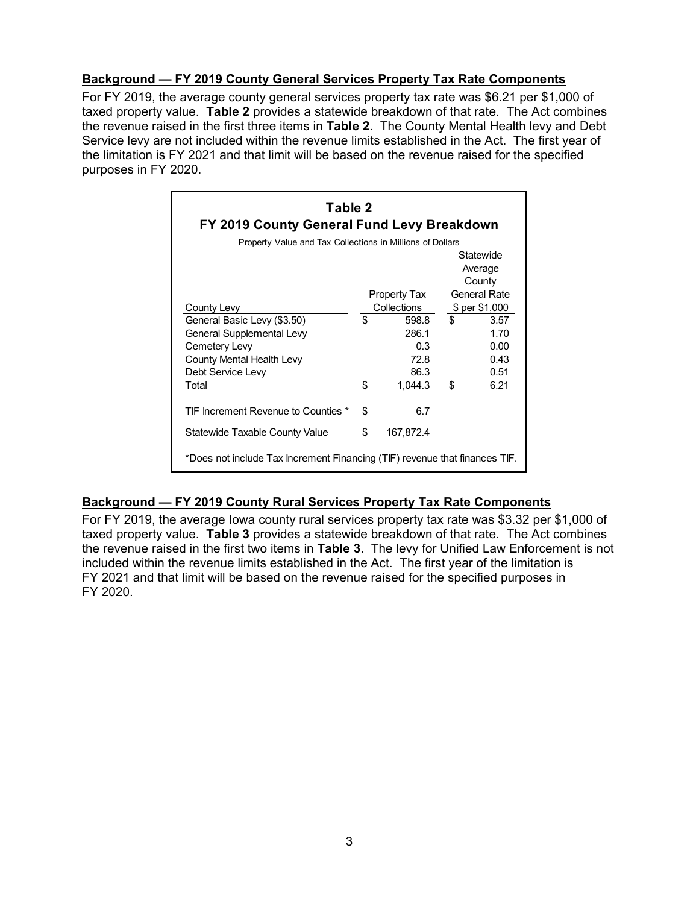## **Background — FY 2019 County General Services Property Tax Rate Components**

For FY 2019, the average county general services property tax rate was \$6.21 per \$1,000 of taxed property value. **Table 2** provides a statewide breakdown of that rate. The Act combines the revenue raised in the first three items in **Table 2**. The County Mental Health levy and Debt Service levy are not included within the revenue limits established in the Act. The first year of the limitation is FY 2021 and that limit will be based on the revenue raised for the specified purposes in FY 2020.

| Table 2<br>FY 2019 County General Fund Levy Breakdown                      |              |           |                |      |  |  |  |  |
|----------------------------------------------------------------------------|--------------|-----------|----------------|------|--|--|--|--|
| Property Value and Tax Collections in Millions of Dollars                  |              |           |                |      |  |  |  |  |
|                                                                            | Statewide    |           |                |      |  |  |  |  |
|                                                                            |              |           | Average        |      |  |  |  |  |
|                                                                            |              |           | County         |      |  |  |  |  |
|                                                                            | Property Tax |           | General Rate   |      |  |  |  |  |
| County Levy                                                                | Collections  |           | \$ per \$1,000 |      |  |  |  |  |
| General Basic Levy (\$3.50)                                                | \$           | 598.8     | \$             | 3.57 |  |  |  |  |
| General Supplemental Levy                                                  |              | 286.1     |                | 1.70 |  |  |  |  |
| Cemetery Levy                                                              |              | 0.3       |                | 0.00 |  |  |  |  |
| County Mental Health Levy                                                  |              | 72.8      |                | 0.43 |  |  |  |  |
| Debt Service Levy                                                          |              | 86.3      |                | 0.51 |  |  |  |  |
| Total                                                                      | \$           | 1.044.3   | \$             | 6.21 |  |  |  |  |
| TIF Increment Revenue to Counties *                                        | \$           | 6.7       |                |      |  |  |  |  |
| Statewide Taxable County Value                                             | \$           | 167,872.4 |                |      |  |  |  |  |
| *Does not include Tax Increment Financing (TIF) revenue that finances TIF. |              |           |                |      |  |  |  |  |

## **Background — FY 2019 County Rural Services Property Tax Rate Components**

For FY 2019, the average Iowa county rural services property tax rate was \$3.32 per \$1,000 of taxed property value. **Table 3** provides a statewide breakdown of that rate. The Act combines the revenue raised in the first two items in **Table 3**. The levy for Unified Law Enforcement is not included within the revenue limits established in the Act. The first year of the limitation is FY 2021 and that limit will be based on the revenue raised for the specified purposes in FY 2020.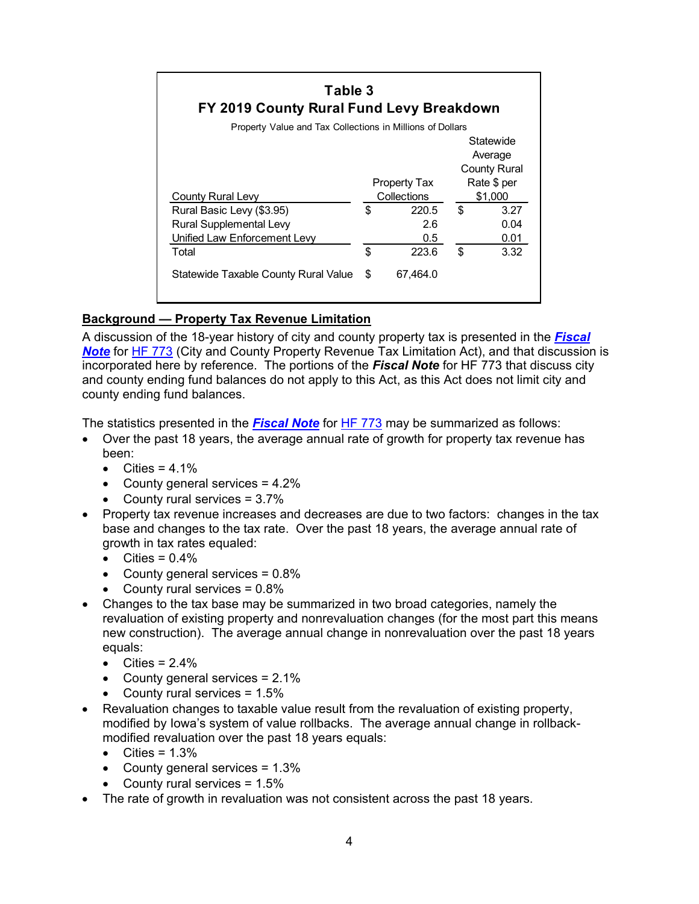| Table 3<br>FY 2019 County Rural Fund Levy Breakdown<br>Property Value and Tax Collections in Millions of Dollars |                             |          |                        |                      |  |  |  |
|------------------------------------------------------------------------------------------------------------------|-----------------------------|----------|------------------------|----------------------|--|--|--|
|                                                                                                                  |                             |          |                        | Statewide<br>Average |  |  |  |
|                                                                                                                  |                             |          |                        | <b>County Rural</b>  |  |  |  |
| County Rural Levy                                                                                                | Property Tax<br>Collections |          | Rate \$ per<br>\$1,000 |                      |  |  |  |
| Rural Basic Levy (\$3.95)                                                                                        | \$                          | 220.5    | \$                     | 3.27                 |  |  |  |
| Rural Supplemental Levy                                                                                          |                             | 2.6      |                        | 0.04                 |  |  |  |
| Unified Law Enforcement Levy                                                                                     |                             | 0.5      |                        | 0.01                 |  |  |  |
| Total                                                                                                            | \$                          | 223.6    | \$                     | 3.32                 |  |  |  |
| Statewide Taxable County Rural Value                                                                             | \$                          | 67,464.0 |                        |                      |  |  |  |

# **Background — Property Tax Revenue Limitation**

A discussion of the 18-year history of city and county property tax is presented in the *[Fiscal](https://www.legis.iowa.gov/docs/publications/FN/1044163.pdf)*  **[Note](https://www.legis.iowa.gov/docs/publications/FN/1044163.pdf)** for [HF 773](https://www.legis.iowa.gov/legislation/BillBook?ga=88&ba=HF773) (City and County Property Revenue Tax Limitation Act), and that discussion is incorporated here by reference. The portions of the *Fiscal Note* for HF 773 that discuss city and county ending fund balances do not apply to this Act, as this Act does not limit city and county ending fund balances.

The statistics presented in the *[Fiscal Note](https://www.legis.iowa.gov/docs/publications/FN/1044163.pdf)* for [HF 773](https://www.legis.iowa.gov/legislation/BillBook?ga=88&ba=HF773) may be summarized as follows:

- Over the past 18 years, the average annual rate of growth for property tax revenue has been:
	- Cities =  $4.1\%$
	- County general services = 4.2%
	- County rural services = 3.7%
- Property tax revenue increases and decreases are due to two factors: changes in the tax base and changes to the tax rate. Over the past 18 years, the average annual rate of growth in tax rates equaled:
	- Cities =  $0.4\%$
	- County general services  $= 0.8\%$
	- County rural services  $= 0.8\%$
- Changes to the tax base may be summarized in two broad categories, namely the revaluation of existing property and nonrevaluation changes (for the most part this means new construction). The average annual change in nonrevaluation over the past 18 years equals:
	- Cities =  $2.4\%$
	- County general services = 2.1%
	- County rural services  $= 1.5\%$
- Revaluation changes to taxable value result from the revaluation of existing property, modified by Iowa's system of value rollbacks. The average annual change in rollbackmodified revaluation over the past 18 years equals:
	- Cities =  $1.3\%$
	- County general services  $= 1.3\%$
	- County rural services  $= 1.5\%$
- The rate of growth in revaluation was not consistent across the past 18 years.